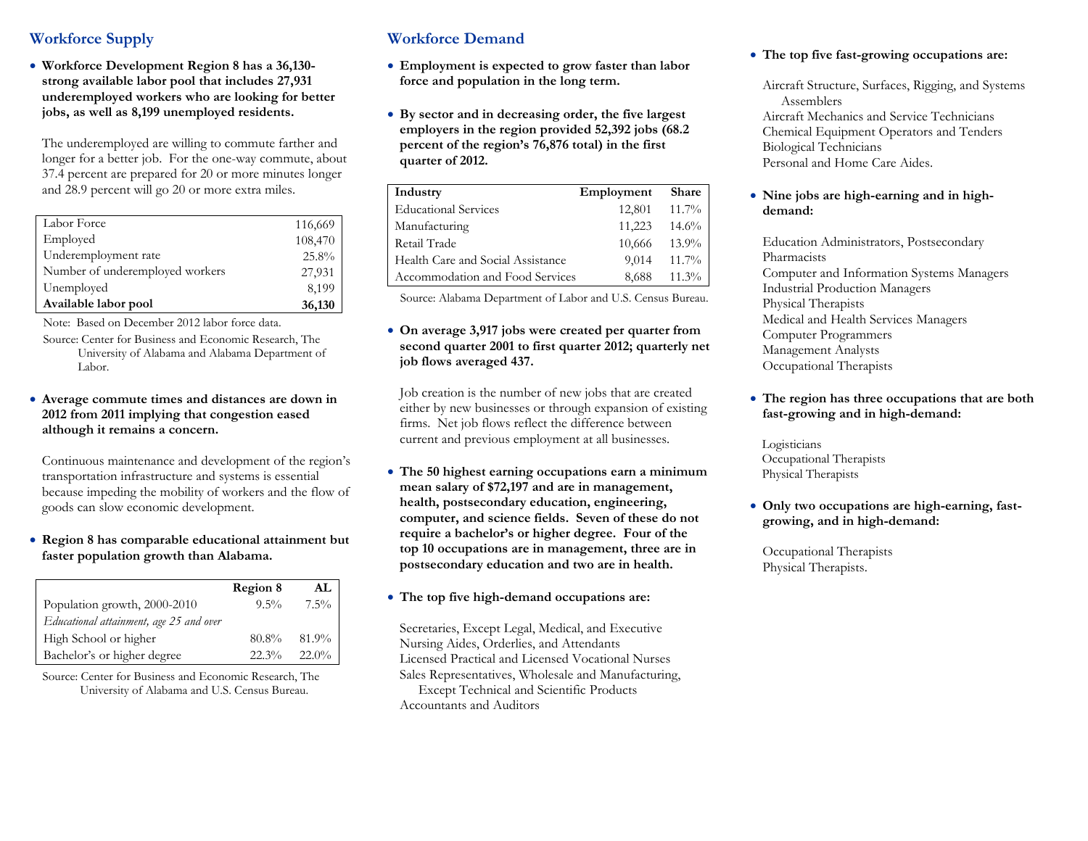# **Workforce Supply**

 **Workforce Development Region 8 has a 36,130 strong available labor pool that includes 27,931 underemployed workers who are looking for better jobs, as well as 8,199 unemployed residents.** 

The underemployed are willing to commute farther and longer for a better job. For the one-way commute, about 37.4 percent are prepared for 20 or more minutes longer and 28.9 percent will go 20 or more extra miles.

| Labor Force                     | 116,669 |
|---------------------------------|---------|
| Employed                        | 108,470 |
| Underemployment rate            | 25.8%   |
| Number of underemployed workers | 27,931  |
| Unemployed                      | 8,199   |
| Available labor pool            | 36,130  |

Note: Based on December 2012 labor force data.

Source: Center for Business and Economic Research, The University of Alabama and Alabama Department of Labor.

#### **Average commute times and distances are down in 2012 from 2011 implying that congestion eased although it remains a concern.**

Continuous maintenance and development of the region's transportation infrastructure and systems is essential because impeding the mobility of workers and the flow of goods can slow economic development.

### **Region 8 has comparable educational attainment but faster population growth than Alabama.**

|                                         | Region 8 | AL       |
|-----------------------------------------|----------|----------|
| Population growth, 2000-2010            | $9.5\%$  | $7.5\%$  |
| Educational attainment, age 25 and over |          |          |
| High School or higher                   | 80.8%    | $81.9\%$ |
| Bachelor's or higher degree             | 22.3%    | $22.0\%$ |

Source: Center for Business and Economic Research, The University of Alabama and U.S. Census Bureau.

# **Workforce Demand**

- **Employment is expected to grow faster than labor force and population in the long term.**
- **By sector and in decreasing order, the five largest employers in the region provided 52,392 jobs (68.2 percent of the region's 76,876 total) in the first quarter of 2012.**

| Industry                          | Employment | <b>Share</b> |
|-----------------------------------|------------|--------------|
| <b>Educational Services</b>       | 12,801     | $11.7\%$     |
| Manufacturing                     | 11,223     | 14.6%        |
| Retail Trade                      | 10,666     | $13.9\%$     |
| Health Care and Social Assistance | 9,014      | $11.7\%$     |
| Accommodation and Food Services   | 8,688      | $11.3\%$     |

Source: Alabama Department of Labor and U.S. Census Bureau.

 **On average 3,917 jobs were created per quarter from second quarter 2001 to first quarter 2012; quarterly net job flows averaged 437.** 

Job creation is the number of new jobs that are created either by new businesses or through expansion of existing firms. Net job flows reflect the difference between current and previous employment at all businesses.

 **The 50 highest earning occupations earn a minimum mean salary of \$72,197 and are in management, health, postsecondary education, engineering, computer, and science fields. Seven of these do not require a bachelor's or higher degree. Four of the top 10 occupations are in management, three are in postsecondary education and two are in health.** 

## **The top five high-demand occupations are:**

Secretaries, Except Legal, Medical, and Executive Nursing Aides, Orderlies, and Attendants Licensed Practical and Licensed Vocational Nurses Sales Representatives, Wholesale and Manufacturing, Except Technical and Scientific Products Accountants and Auditors

#### **The top five fast-growing occupations are:**

Aircraft Structure, Surfaces, Rigging, and Systems Assemblers Aircraft Mechanics and Service Technicians Chemical Equipment Operators and Tenders Biological Technicians Personal and Home Care Aides.

#### **Nine jobs are high-earning and in highdemand:**

Education Administrators, Postsecondary Pharmacists Computer and Information Systems Managers Industrial Production Managers Physical Therapists Medical and Health Services Managers Computer Programmers Management Analysts Occupational Therapists

#### **The region has three occupations that are both fast-growing and in high-demand:**

Logisticians Occupational Therapists Physical Therapists

 **Only two occupations are high-earning, fastgrowing, and in high-demand:** 

Occupational Therapists Physical Therapists.